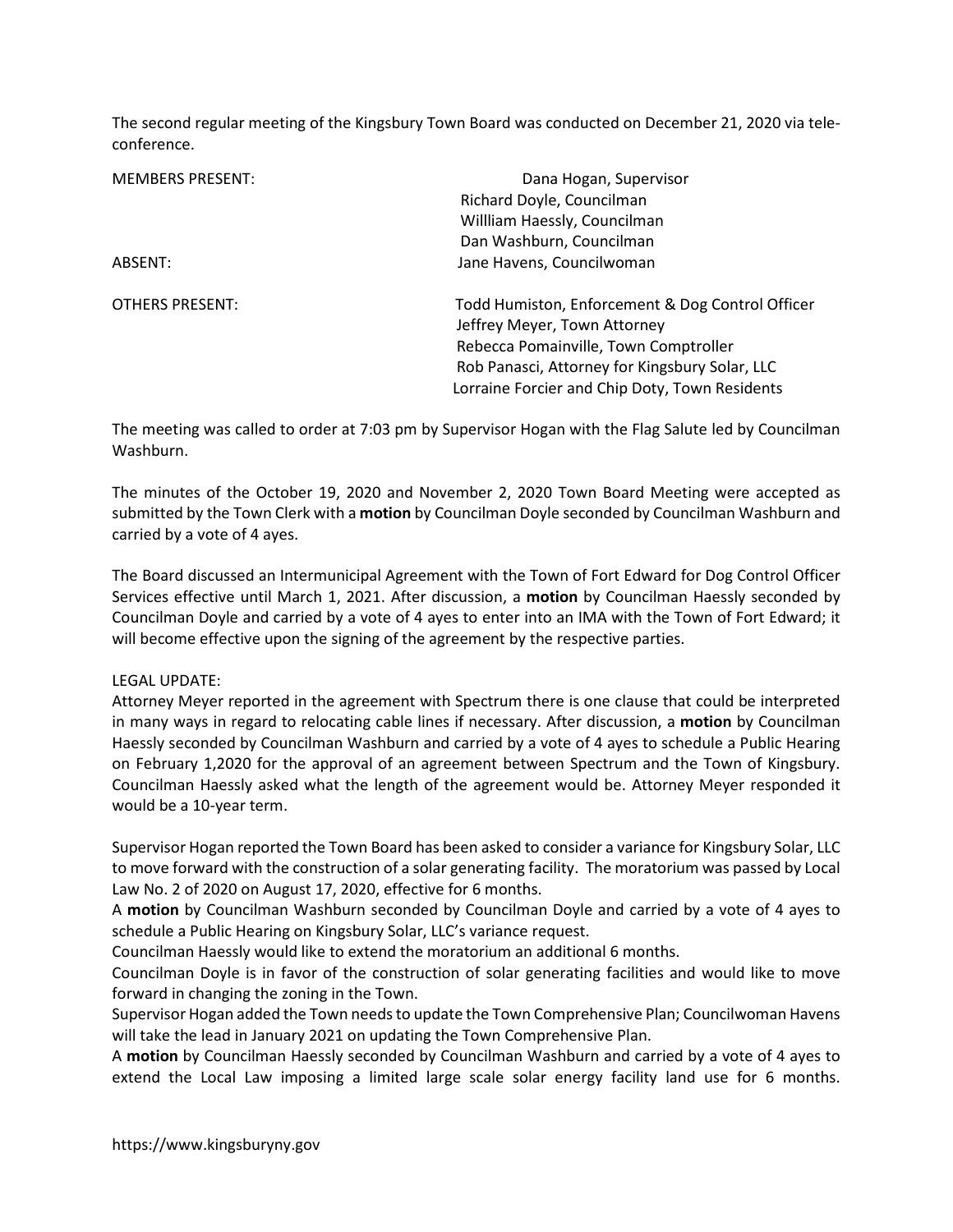The second regular meeting of the Kingsbury Town Board was conducted on December 21, 2020 via teleconference.

| <b>MEMBERS PRESENT:</b> | Dana Hogan, Supervisor                           |
|-------------------------|--------------------------------------------------|
|                         | Richard Doyle, Councilman                        |
|                         | Willliam Haessly, Councilman                     |
|                         | Dan Washburn, Councilman                         |
| ABSENT:                 | Jane Havens, Councilwoman                        |
| OTHERS PRESENT:         | Todd Humiston, Enforcement & Dog Control Officer |
|                         | Jeffrey Meyer, Town Attorney                     |
|                         | Rebecca Pomainville, Town Comptroller            |
|                         | Rob Panasci, Attorney for Kingsbury Solar, LLC   |
|                         | Lorraine Forcier and Chip Doty, Town Residents   |

The meeting was called to order at 7:03 pm by Supervisor Hogan with the Flag Salute led by Councilman Washburn.

The minutes of the October 19, 2020 and November 2, 2020 Town Board Meeting were accepted as submitted by the Town Clerk with a motion by Councilman Doyle seconded by Councilman Washburn and carried by a vote of 4 ayes.

The Board discussed an Intermunicipal Agreement with the Town of Fort Edward for Dog Control Officer Services effective until March 1, 2021. After discussion, a motion by Councilman Haessly seconded by Councilman Doyle and carried by a vote of 4 ayes to enter into an IMA with the Town of Fort Edward; it will become effective upon the signing of the agreement by the respective parties.

# LEGAL UPDATE:

Attorney Meyer reported in the agreement with Spectrum there is one clause that could be interpreted in many ways in regard to relocating cable lines if necessary. After discussion, a motion by Councilman Haessly seconded by Councilman Washburn and carried by a vote of 4 ayes to schedule a Public Hearing on February 1,2020 for the approval of an agreement between Spectrum and the Town of Kingsbury. Councilman Haessly asked what the length of the agreement would be. Attorney Meyer responded it would be a 10-year term.

Supervisor Hogan reported the Town Board has been asked to consider a variance for Kingsbury Solar, LLC to move forward with the construction of a solar generating facility. The moratorium was passed by Local Law No. 2 of 2020 on August 17, 2020, effective for 6 months.

A motion by Councilman Washburn seconded by Councilman Doyle and carried by a vote of 4 ayes to schedule a Public Hearing on Kingsbury Solar, LLC's variance request.

Councilman Haessly would like to extend the moratorium an additional 6 months.

Councilman Doyle is in favor of the construction of solar generating facilities and would like to move forward in changing the zoning in the Town.

Supervisor Hogan added the Town needs to update the Town Comprehensive Plan; Councilwoman Havens will take the lead in January 2021 on updating the Town Comprehensive Plan.

A motion by Councilman Haessly seconded by Councilman Washburn and carried by a vote of 4 ayes to extend the Local Law imposing a limited large scale solar energy facility land use for 6 months.